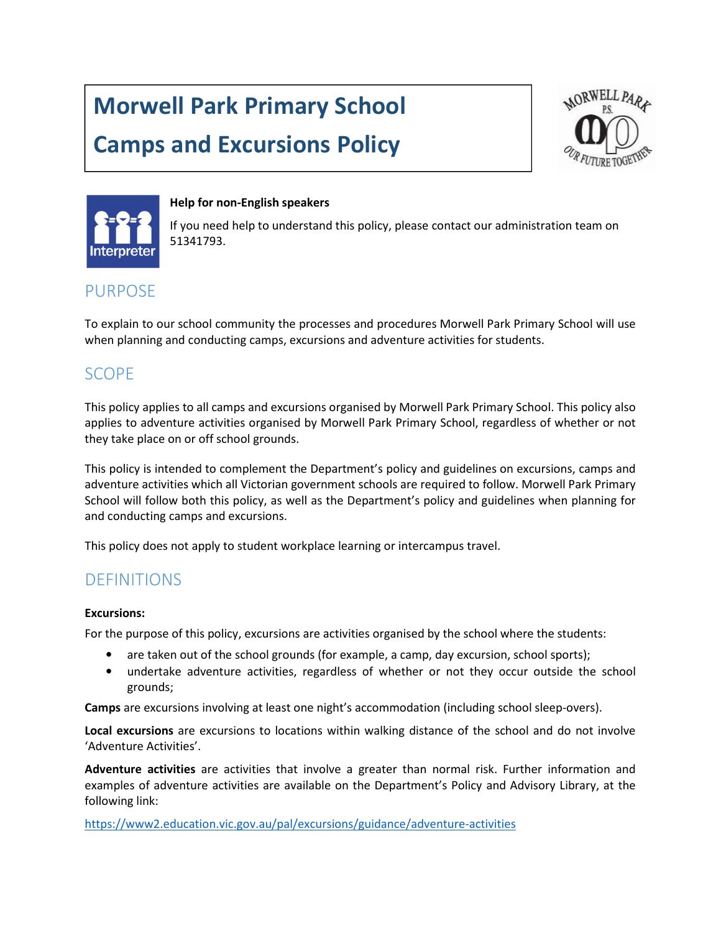# Morwell Park Primary School

## Camps and Excursions Policy





#### Help for non-English speakers

If you need help to understand this policy, please contact our administration team on 51341793.

## PURPOSE

To explain to our school community the processes and procedures Morwell Park Primary School will use when planning and conducting camps, excursions and adventure activities for students.

## SCOPE

This policy applies to all camps and excursions organised by Morwell Park Primary School. This policy also applies to adventure activities organised by Morwell Park Primary School, regardless of whether or not they take place on or off school grounds.

This policy is intended to complement the Department's policy and guidelines on excursions, camps and adventure activities which all Victorian government schools are required to follow. Morwell Park Primary School will follow both this policy, as well as the Department's policy and guidelines when planning for and conducting camps and excursions.

This policy does not apply to student workplace learning or intercampus travel.

## DEFINITIONS

#### Excursions:

For the purpose of this policy, excursions are activities organised by the school where the students:

- are taken out of the school grounds (for example, a camp, day excursion, school sports);
- undertake adventure activities, regardless of whether or not they occur outside the school grounds;

Camps are excursions involving at least one night's accommodation (including school sleep-overs).

Local excursions are excursions to locations within walking distance of the school and do not involve 'Adventure Activities'.

Adventure activities are activities that involve a greater than normal risk. Further information and examples of adventure activities are available on the Department's Policy and Advisory Library, at the following link:

https://www2.education.vic.gov.au/pal/excursions/guidance/adventure-activities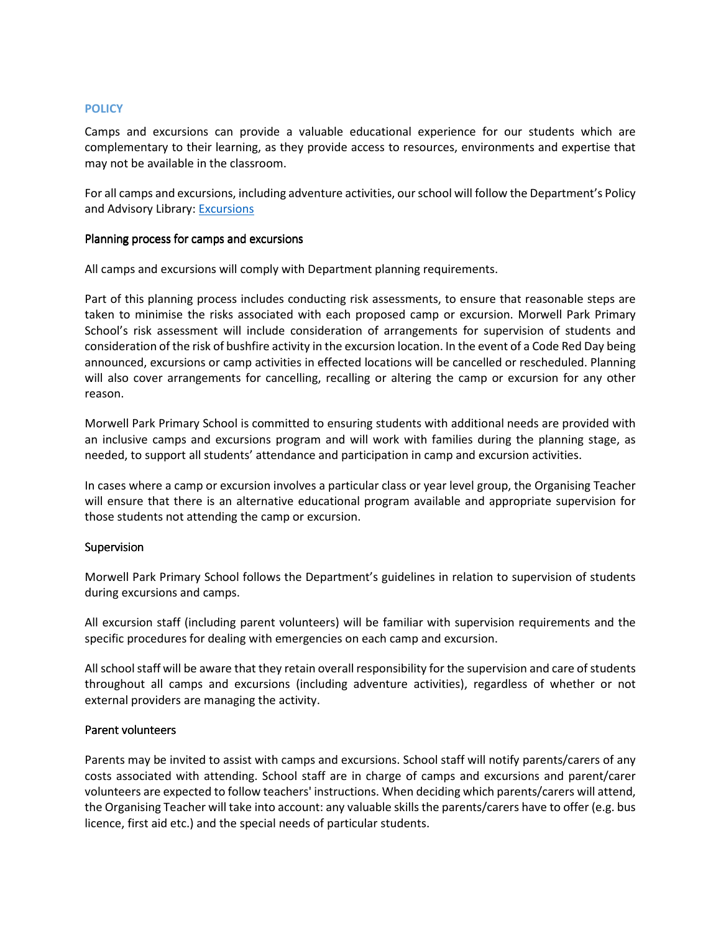#### **POLICY**

Camps and excursions can provide a valuable educational experience for our students which are complementary to their learning, as they provide access to resources, environments and expertise that may not be available in the classroom.

For all camps and excursions, including adventure activities, our school will follow the Department's Policy and Advisory Library: Excursions

#### Planning process for camps and excursions

All camps and excursions will comply with Department planning requirements.

Part of this planning process includes conducting risk assessments, to ensure that reasonable steps are taken to minimise the risks associated with each proposed camp or excursion. Morwell Park Primary School's risk assessment will include consideration of arrangements for supervision of students and consideration of the risk of bushfire activity in the excursion location. In the event of a Code Red Day being announced, excursions or camp activities in effected locations will be cancelled or rescheduled. Planning will also cover arrangements for cancelling, recalling or altering the camp or excursion for any other reason.

Morwell Park Primary School is committed to ensuring students with additional needs are provided with an inclusive camps and excursions program and will work with families during the planning stage, as needed, to support all students' attendance and participation in camp and excursion activities.

In cases where a camp or excursion involves a particular class or year level group, the Organising Teacher will ensure that there is an alternative educational program available and appropriate supervision for those students not attending the camp or excursion.

#### Supervision

Morwell Park Primary School follows the Department's guidelines in relation to supervision of students during excursions and camps.

All excursion staff (including parent volunteers) will be familiar with supervision requirements and the specific procedures for dealing with emergencies on each camp and excursion.

All school staff will be aware that they retain overall responsibility for the supervision and care of students throughout all camps and excursions (including adventure activities), regardless of whether or not external providers are managing the activity.

#### Parent volunteers Parent volunteers

Parents may be invited to assist with camps and excursions. School staff will notify parents/carers of any costs associated with attending. School staff are in charge of camps and excursions and parent/carer volunteers are expected to follow teachers' instructions. When deciding which parents/carers will attend, the Organising Teacher will take into account: any valuable skills the parents/carers have to offer (e.g. bus licence, first aid etc.) and the special needs of particular students.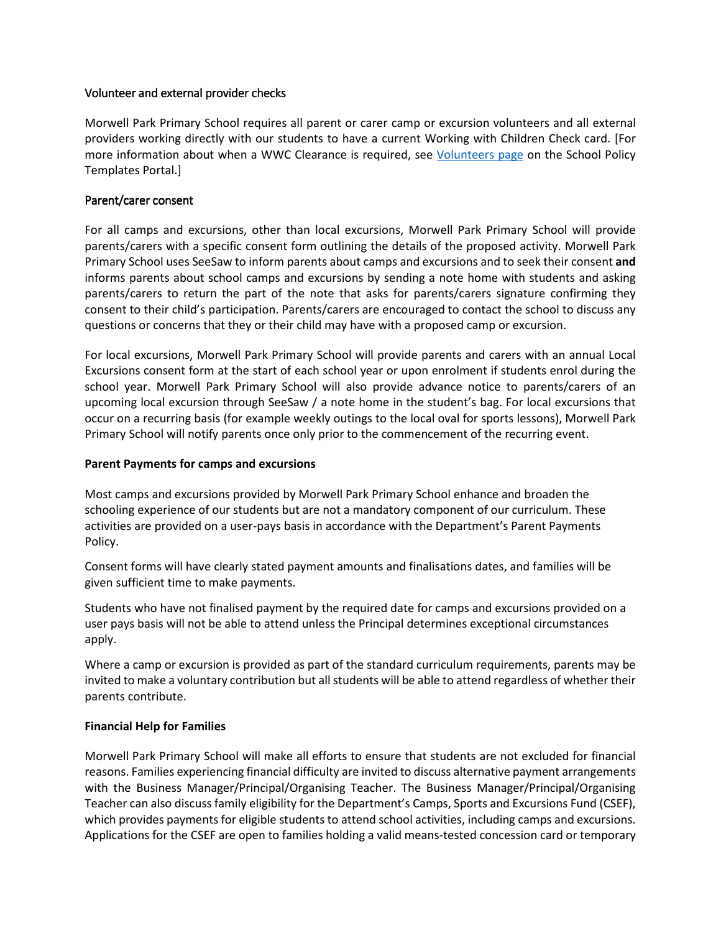#### Volunteer and external provider checks

Morwell Park Primary School requires all parent or carer camp or excursion volunteers and all external providers working directly with our students to have a current Working with Children Check card. [For more information about when a WWC Clearance is required, see Volunteers page on the School Policy Templates Portal.]

#### Parent/carer consent

For all camps and excursions, other than local excursions, Morwell Park Primary School will provide parents/carers with a specific consent form outlining the details of the proposed activity. Morwell Park Primary School uses SeeSaw to inform parents about camps and excursions and to seek their consent and informs parents about school camps and excursions by sending a note home with students and asking parents/carers to return the part of the note that asks for parents/carers signature confirming they consent to their child's participation. Parents/carers are encouraged to contact the school to discuss any questions or concerns that they or their child may have with a proposed camp or excursion.

For local excursions, Morwell Park Primary School will provide parents and carers with an annual Local Excursions consent form at the start of each school year or upon enrolment if students enrol during the school year. Morwell Park Primary School will also provide advance notice to parents/carers of an upcoming local excursion through SeeSaw / a note home in the student's bag. For local excursions that occur on a recurring basis (for example weekly outings to the local oval for sports lessons), Morwell Park Primary School will notify parents once only prior to the commencement of the recurring event.

#### Parent Payments for camps and excursions

Most camps and excursions provided by Morwell Park Primary School enhance and broaden the schooling experience of our students but are not a mandatory component of our curriculum. These activities are provided on a user-pays basis in accordance with the Department's Parent Payments Policy.

Consent forms will have clearly stated payment amounts and finalisations dates, and families will be given sufficient time to make payments.

Students who have not finalised payment by the required date for camps and excursions provided on a user pays basis will not be able to attend unless the Principal determines exceptional circumstances apply.

Where a camp or excursion is provided as part of the standard curriculum requirements, parents may be invited to make a voluntary contribution but all students will be able to attend regardless of whether their parents contribute.

#### Financial Help for Families

Morwell Park Primary School will make all efforts to ensure that students are not excluded for financial reasons. Families experiencing financial difficulty are invited to discuss alternative payment arrangements with the Business Manager/Principal/Organising Teacher. The Business Manager/Principal/Organising Teacher can also discuss family eligibility for the Department's Camps, Sports and Excursions Fund (CSEF), which provides payments for eligible students to attend school activities, including camps and excursions. Applications for the CSEF are open to families holding a valid means-tested concession card or temporary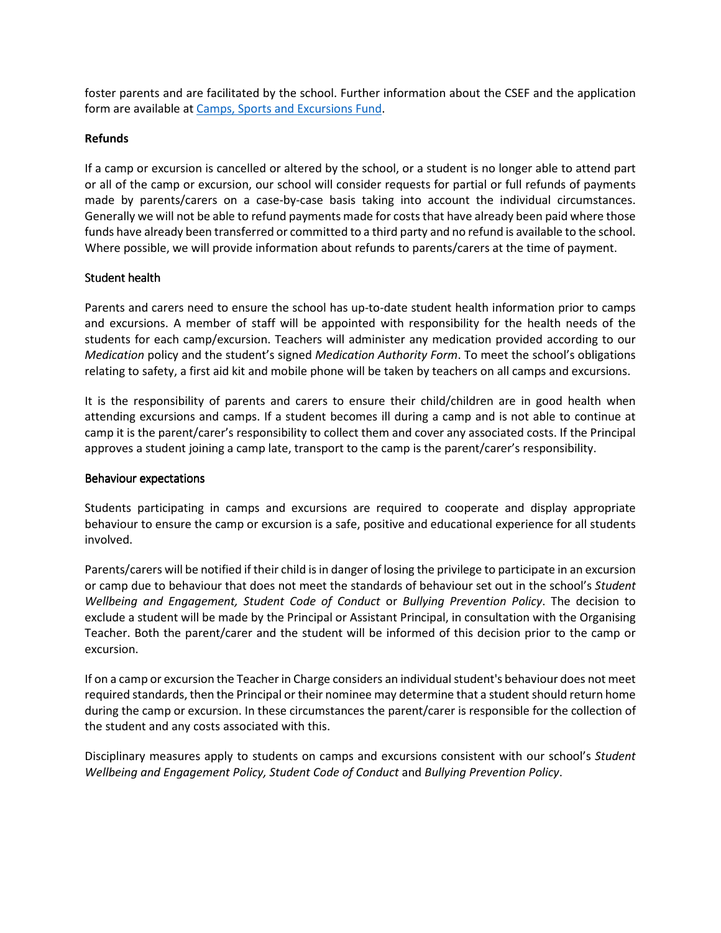foster parents and are facilitated by the school. Further information about the CSEF and the application form are available at Camps, Sports and Excursions Fund.

#### Refunds

If a camp or excursion is cancelled or altered by the school, or a student is no longer able to attend part or all of the camp or excursion, our school will consider requests for partial or full refunds of payments made by parents/carers on a case-by-case basis taking into account the individual circumstances. Generally we will not be able to refund payments made for costs that have already been paid where those funds have already been transferred or committed to a third party and no refund is available to the school. Where possible, we will provide information about refunds to parents/carers at the time of payment.

#### Student health

Parents and carers need to ensure the school has up-to-date student health information prior to camps and excursions. A member of staff will be appointed with responsibility for the health needs of the students for each camp/excursion. Teachers will administer any medication provided according to our Medication policy and the student's signed Medication Authority Form. To meet the school's obligations relating to safety, a first aid kit and mobile phone will be taken by teachers on all camps and excursions.

It is the responsibility of parents and carers to ensure their child/children are in good health when attending excursions and camps. If a student becomes ill during a camp and is not able to continue at camp it is the parent/carer's responsibility to collect them and cover any associated costs. If the Principal approves a student joining a camp late, transport to the camp is the parent/carer's responsibility.

#### Behaviour expectations

Students participating in camps and excursions are required to cooperate and display appropriate behaviour to ensure the camp or excursion is a safe, positive and educational experience for all students involved.

Parents/carers will be notified if their child is in danger of losing the privilege to participate in an excursion or camp due to behaviour that does not meet the standards of behaviour set out in the school's Student Wellbeing and Engagement, Student Code of Conduct or Bullying Prevention Policy. The decision to exclude a student will be made by the Principal or Assistant Principal, in consultation with the Organising Teacher. Both the parent/carer and the student will be informed of this decision prior to the camp or excursion.

If on a camp or excursion the Teacher in Charge considers an individual student's behaviour does not meet required standards, then the Principal or their nominee may determine that a student should return home during the camp or excursion. In these circumstances the parent/carer is responsible for the collection of the student and any costs associated with this.

Disciplinary measures apply to students on camps and excursions consistent with our school's Student Wellbeing and Engagement Policy, Student Code of Conduct and Bullying Prevention Policy.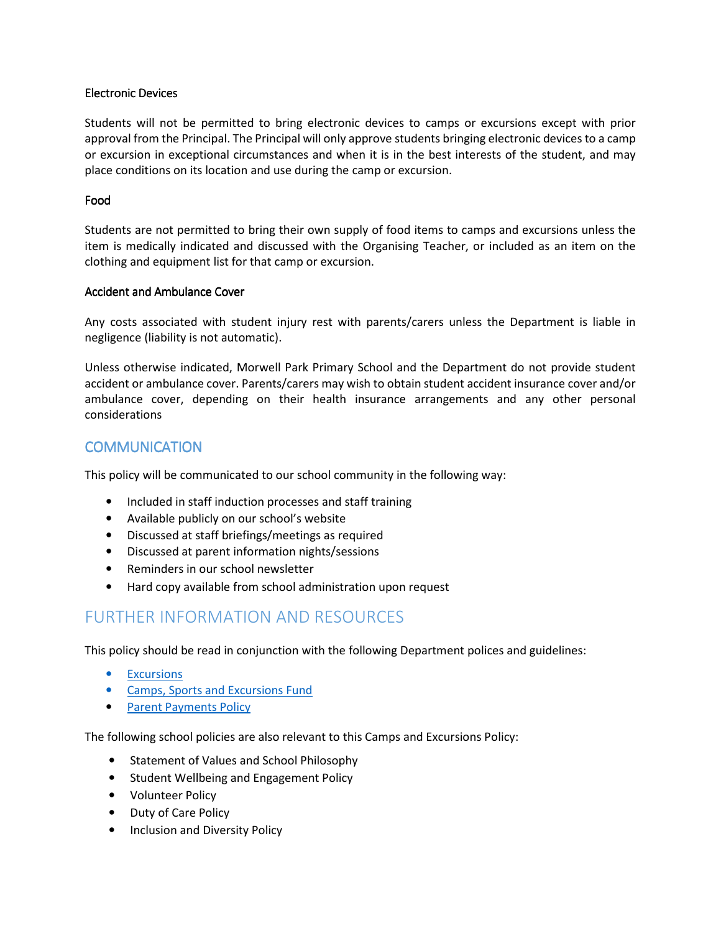#### Electronic Devices

Students will not be permitted to bring electronic devices to camps or excursions except with prior approval from the Principal. The Principal will only approve students bringing electronic devices to a camp or excursion in exceptional circumstances and when it is in the best interests of the student, and may place conditions on its location and use during the camp or excursion.

#### Food

Students are not permitted to bring their own supply of food items to camps and excursions unless the item is medically indicated and discussed with the Organising Teacher, or included as an item on the clothing and equipment list for that camp or excursion.

#### Accident and Ambulance Cover

Any costs associated with student injury rest with parents/carers unless the Department is liable in negligence (liability is not automatic).

Unless otherwise indicated, Morwell Park Primary School and the Department do not provide student accident or ambulance cover. Parents/carers may wish to obtain student accident insurance cover and/or ambulance cover, depending on their health insurance arrangements and any other personal considerations

#### **COMMUNICATION**

This policy will be communicated to our school community in the following way:

- Included in staff induction processes and staff training
- Available publicly on our school's website
- Discussed at staff briefings/meetings as required
- Discussed at parent information nights/sessions
- Reminders in our school newsletter
- Hard copy available from school administration upon request

## FURTHER INFORMATION AND RESOURCES

This policy should be read in conjunction with the following Department polices and guidelines:

- Excursions
- Camps, Sports and Excursions Fund
- Parent Payments Policy

The following school policies are also relevant to this Camps and Excursions Policy:

- Statement of Values and School Philosophy
- Student Wellbeing and Engagement Policy
- Volunteer Policy
- Duty of Care Policy
- Inclusion and Diversity Policy